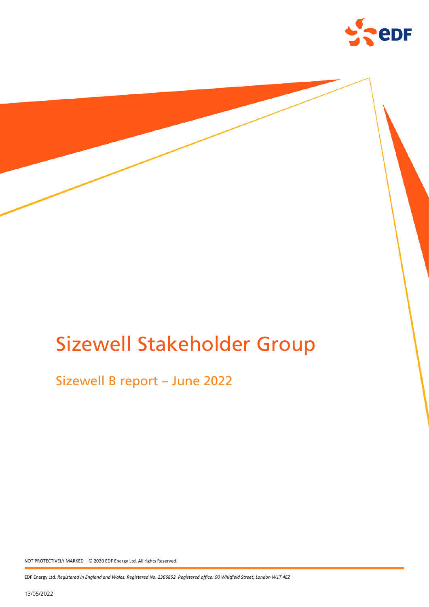

# Sizewell Stakeholder Group

# Sizewell B report – June 2022

NOT PROTECTIVELY MARKED | © 2020 EDF Energy Ltd. All rights Reserved.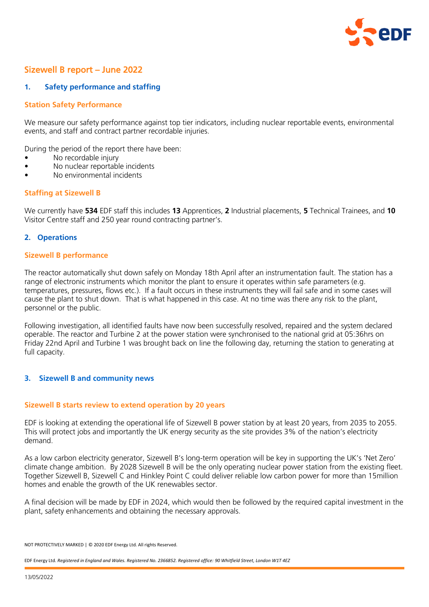

# Sizewell B report – June 2022

# **1. Safety performance and staffing**

# **Station Safety Performance**

We measure our safety performance against top tier indicators, including nuclear reportable events, environmental events, and staff and contract partner recordable injuries.

During the period of the report there have been:

- No recordable injury
- No nuclear reportable incidents
- No environmental incidents

# **Staffing at Sizewell B**

We currently have **534** EDF staff this includes **13** Apprentices, **2** Industrial placements, **5** Technical Trainees, and **10** Visitor Centre staff and 250 year round contracting partner's.

#### **2. Operations**

#### **Sizewell B performance**

The reactor automatically shut down safely on Monday 18th April after an instrumentation fault. The station has a range of electronic instruments which monitor the plant to ensure it operates within safe parameters (e.g. temperatures, pressures, flows etc.). If a fault occurs in these instruments they will fail safe and in some cases will cause the plant to shut down. That is what happened in this case. At no time was there any risk to the plant, personnel or the public.

Following investigation, all identified faults have now been successfully resolved, repaired and the system declared operable. The reactor and Turbine 2 at the power station were synchronised to the national grid at 05:36hrs on Friday 22nd April and Turbine 1 was brought back on line the following day, returning the station to generating at full capacity.

# **3. Sizewell B and community news**

#### **Sizewell B starts review to extend operation by 20 years**

EDF is looking at extending the operational life of Sizewell B power station by at least 20 years, from 2035 to 2055. This will protect jobs and importantly the UK energy security as the site provides 3% of the nation's electricity demand.

As a low carbon electricity generator, Sizewell B's long-term operation will be key in supporting the UK's 'Net Zero' climate change ambition. By 2028 Sizewell B will be the only operating nuclear power station from the existing fleet. Together Sizewell B, Sizewell C and Hinkley Point C could deliver reliable low carbon power for more than 15million homes and enable the growth of the UK renewables sector.

A final decision will be made by EDF in 2024, which would then be followed by the required capital investment in the plant, safety enhancements and obtaining the necessary approvals.

NOT PROTECTIVELY MARKED | © 2020 EDF Energy Ltd. All rights Reserved.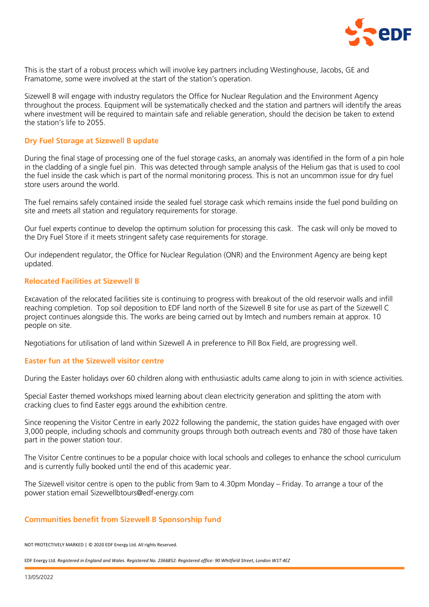

This is the start of a robust process which will involve key partners including Westinghouse, Jacobs, GE and Framatome, some were involved at the start of the station's operation.

Sizewell B will engage with industry regulators the Office for Nuclear Regulation and the Environment Agency throughout the process. Equipment will be systematically checked and the station and partners will identify the areas where investment will be required to maintain safe and reliable generation, should the decision be taken to extend the station's life to 2055.

#### **Dry Fuel Storage at Sizewell B update**

During the final stage of processing one of the fuel storage casks, an anomaly was identified in the form of a pin hole in the cladding of a single fuel pin. This was detected through sample analysis of the Helium gas that is used to cool the fuel inside the cask which is part of the normal monitoring process. This is not an uncommon issue for dry fuel store users around the world.

The fuel remains safely contained inside the sealed fuel storage cask which remains inside the fuel pond building on site and meets all station and regulatory requirements for storage.

Our fuel experts continue to develop the optimum solution for processing this cask. The cask will only be moved to the Dry Fuel Store if it meets stringent safety case requirements for storage.

Our independent regulator, the Office for Nuclear Regulation (ONR) and the Environment Agency are being kept updated.

# **Relocated Facilities at Sizewell B**

Excavation of the relocated facilities site is continuing to progress with breakout of the old reservoir walls and infill reaching completion. Top soil deposition to EDF land north of the Sizewell B site for use as part of the Sizewell C project continues alongside this. The works are being carried out by Imtech and numbers remain at approx. 10 people on site.

Negotiations for utilisation of land within Sizewell A in preference to Pill Box Field, are progressing well.

# **Easter fun at the Sizewell visitor centre**

During the Easter holidays over 60 children along with enthusiastic adults came along to join in with science activities.

Special Easter themed workshops mixed learning about clean electricity generation and splitting the atom with cracking clues to find Easter eggs around the exhibition centre.

Since reopening the Visitor Centre in early 2022 following the pandemic, the station guides have engaged with over 3,000 people, including schools and community groups through both outreach events and 780 of those have taken part in the power station tour.

The Visitor Centre continues to be a popular choice with local schools and colleges to enhance the school curriculum and is currently fully booked until the end of this academic year.

The Sizewell visitor centre is open to the public from 9am to 4.30pm Monday – Friday. To arrange a tour of the power station email Sizewellbtours@edf-energy.com

# **Communities benefit from Sizewell B Sponsorship fund**

NOT PROTECTIVELY MARKED | © 2020 EDF Energy Ltd. All rights Reserved.